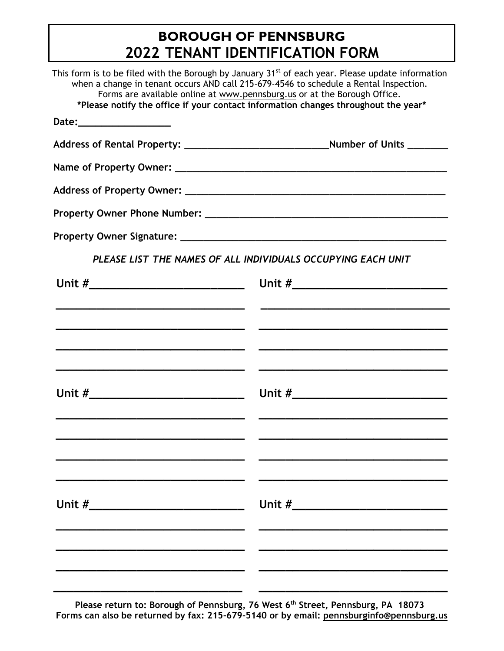## **BOROUGH OF PENNSBURG 2022 TENANT IDENTIFICATION FORM**

|                                                                                    | This form is to be filed with the Borough by January 31 <sup>st</sup> of each year. Please update information<br>when a change in tenant occurs AND call 215-679-4546 to schedule a Rental Inspection.<br>Forms are available online at www.pennsburg.us or at the Borough Office. |
|------------------------------------------------------------------------------------|------------------------------------------------------------------------------------------------------------------------------------------------------------------------------------------------------------------------------------------------------------------------------------|
| *Please notify the office if your contact information changes throughout the year* |                                                                                                                                                                                                                                                                                    |
| Date:____________________                                                          |                                                                                                                                                                                                                                                                                    |
|                                                                                    |                                                                                                                                                                                                                                                                                    |
|                                                                                    |                                                                                                                                                                                                                                                                                    |
|                                                                                    |                                                                                                                                                                                                                                                                                    |
|                                                                                    |                                                                                                                                                                                                                                                                                    |
|                                                                                    |                                                                                                                                                                                                                                                                                    |
|                                                                                    | PLEASE LIST THE NAMES OF ALL INDIVIDUALS OCCUPYING EACH UNIT                                                                                                                                                                                                                       |
|                                                                                    |                                                                                                                                                                                                                                                                                    |
|                                                                                    |                                                                                                                                                                                                                                                                                    |
| <u> 1989 - Johann Stoff, amerikansk politiker (d. 1989)</u>                        | <u> 2000 - Jan James James Jan James James James James James James James James James James James James James Jam</u>                                                                                                                                                               |
|                                                                                    |                                                                                                                                                                                                                                                                                    |
|                                                                                    |                                                                                                                                                                                                                                                                                    |
|                                                                                    |                                                                                                                                                                                                                                                                                    |
|                                                                                    |                                                                                                                                                                                                                                                                                    |
|                                                                                    |                                                                                                                                                                                                                                                                                    |
|                                                                                    |                                                                                                                                                                                                                                                                                    |
|                                                                                    |                                                                                                                                                                                                                                                                                    |
| Unit #___________________________                                                  |                                                                                                                                                                                                                                                                                    |
|                                                                                    |                                                                                                                                                                                                                                                                                    |
|                                                                                    |                                                                                                                                                                                                                                                                                    |
|                                                                                    |                                                                                                                                                                                                                                                                                    |
|                                                                                    |                                                                                                                                                                                                                                                                                    |

**Please return to: Borough of Pennsburg, 76 West 6th Street, Pennsburg, PA 18073 Forms can also be returned by fax: 215-679-5140 or by email: [pennsburginfo@pennsburg.us](mailto:pennsburginfo@pennsburg.us)**